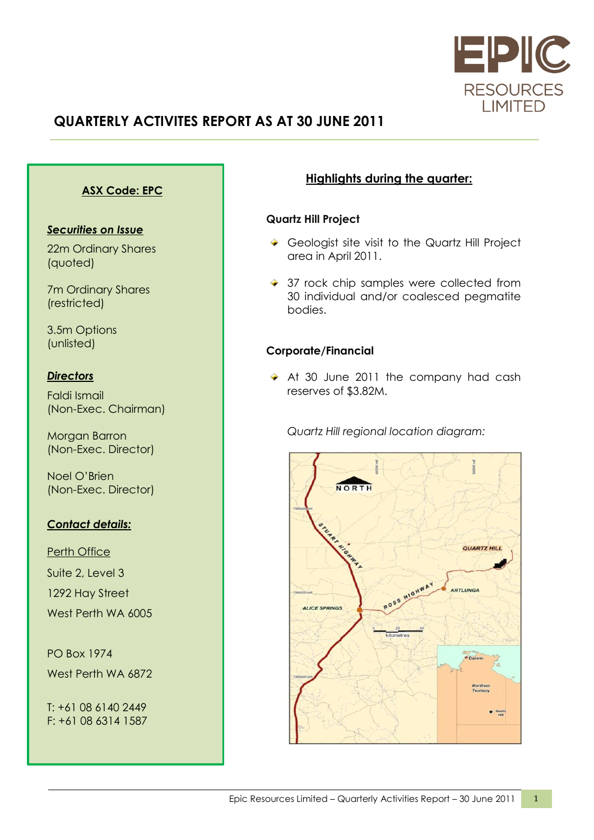

# **QUARTERLY ACTIVITES REPORT AS AT 30 JUNE 2011**

## **ASX Code: EPC**

#### *Securities on Issue*

22m Ordinary Shares (quoted)

7m Ordinary Shares (restricted)

3.5m Options (unlisted)

### *Directors*

Faldi Ismail (Non-Exec. Chairman)

Morgan Barron (Non-Exec. Director)

Noel O'Brien (Non-Exec. Director)

### *Contact details:*

Perth Office Suite 2, Level 3 1292 Hay Street West Perth WA 6005

PO Box 1974 West Perth WA 6872

T: +61 08 6140 2449 F: +61 08 6314 1587

## **Highlights during the quarter:**

#### **Quartz Hill Project**

- Geologist site visit to the Quartz Hill Project area in April 2011.
- ◆ 37 rock chip samples were collected from 30 individual and/or coalesced pegmatite bodies.

### **Corporate/Financial**

At 30 June 2011 the company had cash reserves of \$3.82M.

*Quartz Hill regional location diagram:*

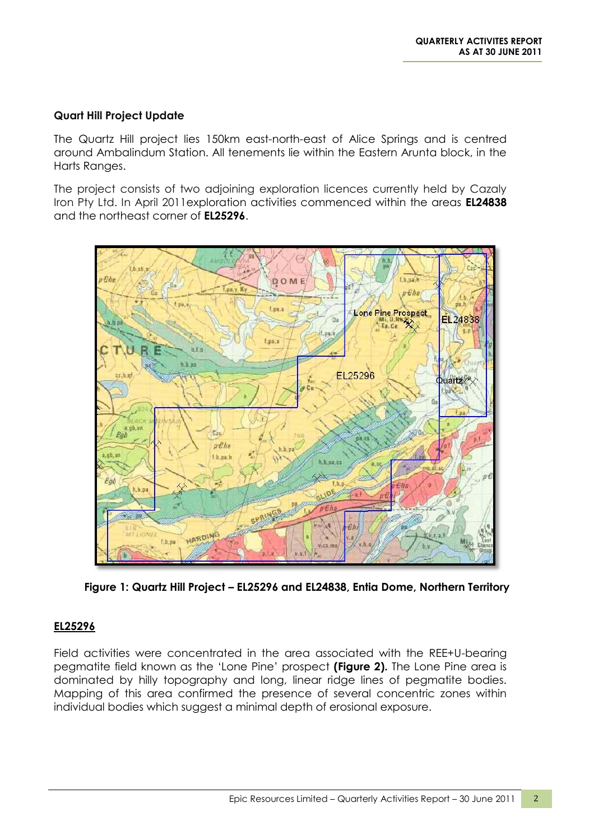#### **Quart Hill Project Update**

The Quartz Hill project lies 150km east-north-east of Alice Springs and is centred around Ambalindum Station. All tenements lie within the Eastern Arunta block, in the Harts Ranges.

The project consists of two adjoining exploration licences currently held by Cazaly Iron Pty Ltd. In April 2011exploration activities commenced within the areas **EL24838** and the northeast corner of **EL25296**.



**Figure 1: Quartz Hill Project – EL25296 and EL24838, Entia Dome, Northern Territory**

### **EL25296**

Field activities were concentrated in the area associated with the REE+U-bearing pegmatite field known as the 'Lone Pine' prospect **(Figure 2).** The Lone Pine area is dominated by hilly topography and long, linear ridge lines of pegmatite bodies. Mapping of this area confirmed the presence of several concentric zones within individual bodies which suggest a minimal depth of erosional exposure.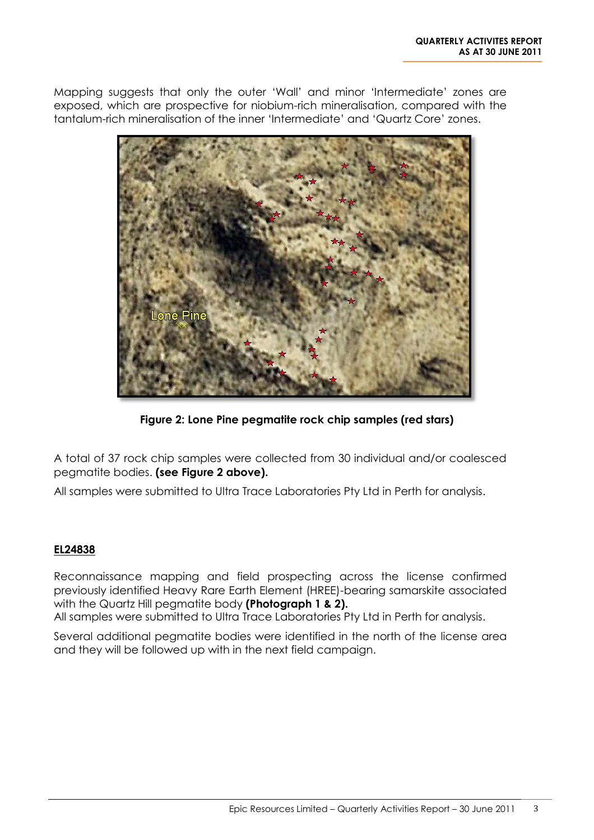Mapping suggests that only the outer 'Wall' and minor 'Intermediate' zones are exposed, which are prospective for niobium-rich mineralisation, compared with the tantalum-rich mineralisation of the inner 'Intermediate' and 'Quartz Core' zones.



**Figure 2: Lone Pine pegmatite rock chip samples (red stars)**

A total of 37 rock chip samples were collected from 30 individual and/or coalesced pegmatite bodies. **(see Figure 2 above).**

All samples were submitted to Ultra Trace Laboratories Pty Ltd in Perth for analysis.

### **EL24838**

Reconnaissance mapping and field prospecting across the license confirmed previously identified Heavy Rare Earth Element (HREE)-bearing samarskite associated with the Quartz Hill pegmatite body **(Photograph 1 & 2).**

All samples were submitted to Ultra Trace Laboratories Pty Ltd in Perth for analysis.

Several additional pegmatite bodies were identified in the north of the license area and they will be followed up with in the next field campaign.